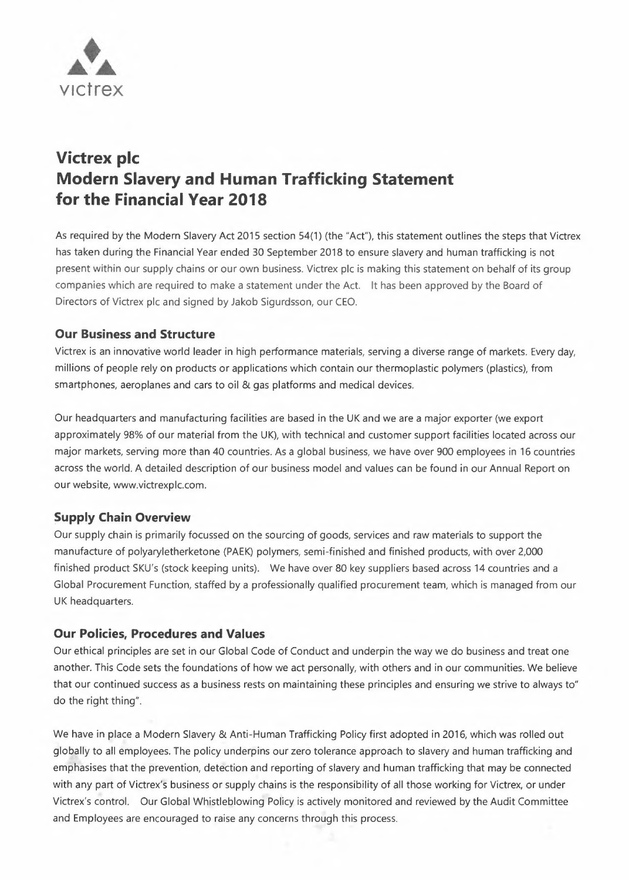

# **Victrex pic Modern Slavery and Human Trafficking Statement for the Financial Year 2018**

As required by the Modern Slavery Act 2015 section 54(1) (the "Act"), this statement outlines the steps that Victrex has taken during the Financial Year ended 30 September 2018 to ensure slavery and human trafficking is not present within our supply chains or our own business. Victrex pic is making this statement on behalf of its group companies which are required to make a statement under the Act. lt has been approved by the Board of Directors of Victrex pic and signed by Jakob Sigurdsson, our CEO.

# **Our Business and Structure**

Victrex is an innovative world leader in high performance materials, serving a diverse range of markets. Every day, millions of people rely on products or applications which contain our thermoplastic polymers (plastics), from smartphones, aeroplanes and cars to oil & gas platforms and medical devices.

Our headquarters and manufacturing facilities are based in the UK and we are a major exporter (we export approximately 98% of our material from the UK), with technical and customer support facilities located across our major markets, serving more than 40 countries. As a global business, we have over 900 employees in 16 countries across the world. A detailed description of our business model and values can be found in our Annual Report on our website, www.victrexplc.com.

## **Supply Chain Overview**

Our supply chain is primarily focussed on the sourcing of goods, services and raw materials to support the manufacture of polyaryletherketone (PAEK) polymers, semi-finished and finished products, with over 2,000 finished product SKU's (stock keeping units). We have over 80 key suppliers based across 14 countries and a Global Procurement Function, staffed by a professionally qualified procurement team, which is managed from our UK headquarters.

## **Our Policies, Procedures and Values**

Our ethical principles are set in our Global Code of Conduct and underpin the way we do business and treat one another. This Code sets the foundations of how we act personally, with others and in our communities. We believe that our continued success as a business rests on maintaining these principles and ensuring we strive to always to" do the right thing".

We have in place a Modern Slavery & Anti-Human Trafficking Policy first adopted in 2016, which was rolled out globally to all employees. The policy underpins our zero tolerance approach to slavery and human trafficking and emphasises that the prevention, detection and reporting of slavery and human trafficking that may be connected with any part of Victrex's business or supply chains is the responsibility of all those working for Victrex, or under Victrex's control. Our Global Whistleblowing Policy is actively monitored and reviewed by the Audit Committee and Employees are encouraged to raise any concerns through this process.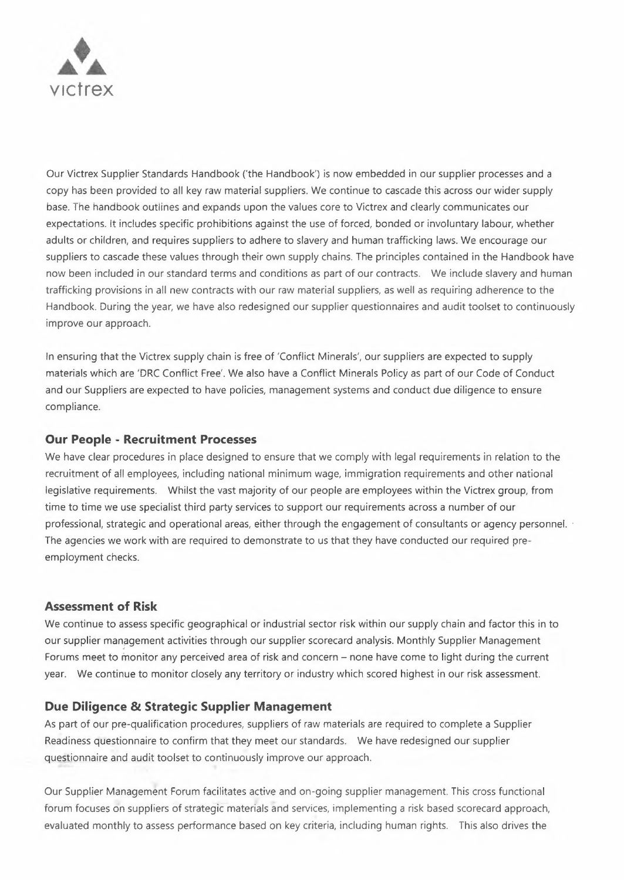

Our Victrex Supplier Standards Handbook ('the Handbook') is now embedded in our supplier processes and a copy has been provided to all key raw material suppliers. We continue to cascade this across our wider supply base. The handbook outlines and expands upon the values core to Victrex and clearly communicates our expectations. lt includes specific prohibitions against the use of forced, bonded or involuntary labour, whether adults or children, and requires suppliers to adhere to slavery and human trafficking laws. We encourage our suppliers to cascade these values through their own supply chains. The principles contained in the Handbook have now been included in our standard terms and conditions as part of our contracts. We include slavery and human trafficking provisions in all new contracts with our raw material suppliers, as well as requiring adherence to the Handbook. During the year, we have also redesigned our supplier questionnaires and audit toolset to continuously improve our approach.

ln ensuring that the Victrex supply chain is free of 'Conflict Minerals', our suppliers are expected to supply materials which are 'DRC Conflict Free'. We also have a Conflict Minerals Policy as part of our Code of Conduct and our Suppliers are expected to have policies, management systems and conduct due diligence to ensure compliance.

#### **Our People - Recruitment Processes**

We have clear procedures in place designed to ensure that we comply with legal requirements in relation to the recruitment of all employees, including national minimum wage, immigration requirements and other national legislative requirements. Whilst the vast majority of our people are employees within the Victrex group, from time to time we use specialist third party services to support our requirements across a number of our professional, strategic and operational areas, either through the engagement of consultants or agency personnel. · The agencies we work with are required to demonstrate to us that they have conducted our required preemployment checks.

# **Assessment of Risk**

We continue to assess specific geographical or industrial sector risk within our supply chain and factor this in to our supplier management activities through our supplier scorecard analysis. Monthly Supplier Management Forums meet to monitor any perceived area of risk and concern - none have come to light during the current year. We continue to monitor closely any territory or industry which scored highest in our risk assessment.

## **Due Diligence & Strategic Supplier Management**

As part of our pre-qualification procedures, suppliers of raw materials are required to complete a Supplier Readiness questionnaire to confirm that they meet our standards. We have redesigned our supplier questionnaire and audit toolset to continuously improve our approach.

Our Supplier Management Forum facilitates active and on-going supplier management. This cross functional forum focuses on suppliers of strategic materials and services, implementing a risk based scorecard approach, evaluated monthly to assess performance based on key criteria, including human rights. This also drives the